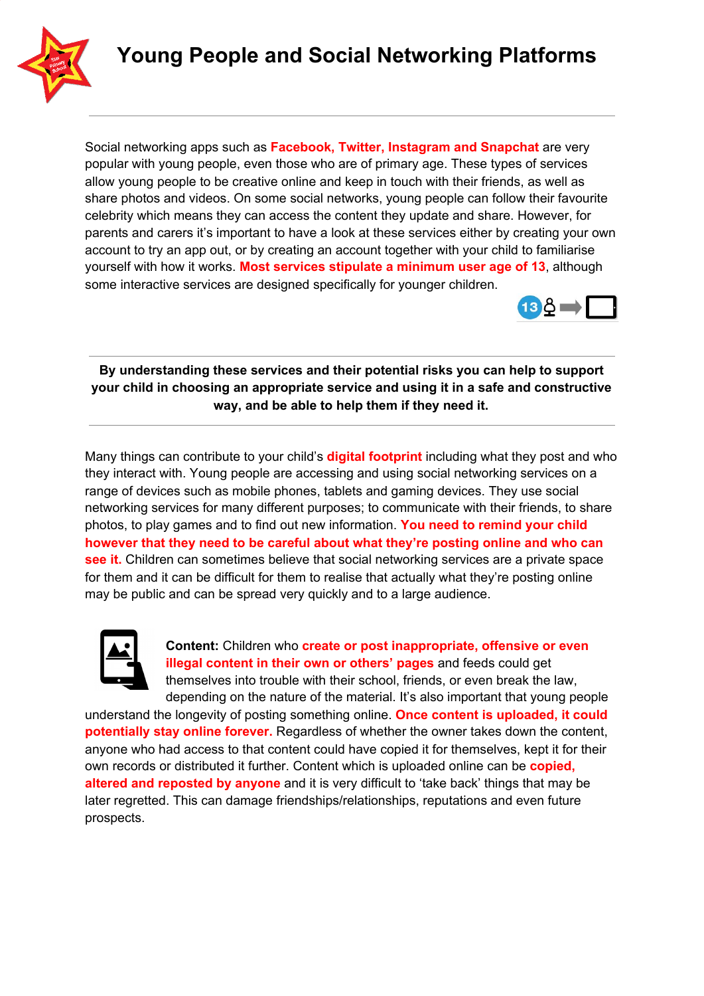

Social networking apps such as **Facebook, Twitter, Instagram and Snapchat** are very popular with young people, even those who are of primary age. These types of services allow young people to be creative online and keep in touch with their friends, as well as share photos and videos. On some social networks, young people can follow their favourite celebrity which means they can access the content they update and share. However, for parents and carers it's important to have a look at these services either by creating your own account to try an app out, or by creating an account together with your child to familiarise yourself with how it works. **Most services stipulate a minimum user age of 13**, although some interactive services are designed specifically for younger children.



**By understanding these services and their potential risks you can help to support your child in choosing an appropriate service and using it in a safe and constructive way, and be able to help them if they need it.**

Many things can contribute to your child's **digital footprint** including what they post and who they interact with. Young people are accessing and using social networking services on a range of devices such as mobile phones, tablets and gaming devices. They use social networking services for many different purposes; to communicate with their friends, to share photos, to play games and to find out new information. **You need to remind your child however that they need to be careful about what they're posting online and who can see it.** Children can sometimes believe that social networking services are a private space for them and it can be difficult for them to realise that actually what they're posting online may be public and can be spread very quickly and to a large audience.



**Content:** Children who **create or post inappropriate, offensive or even illegal content in their own or others' pages** and feeds could get themselves into trouble with their school, friends, or even break the law, depending on the nature of the material. It's also important that young people

understand the longevity of posting something online. **Once content is uploaded, it could potentially stay online forever.** Regardless of whether the owner takes down the content, anyone who had access to that content could have copied it for themselves, kept it for their own records or distributed it further. Content which is uploaded online can be **copied, altered and reposted by anyone** and it is very difficult to 'take back' things that may be later regretted. This can damage friendships/relationships, reputations and even future prospects.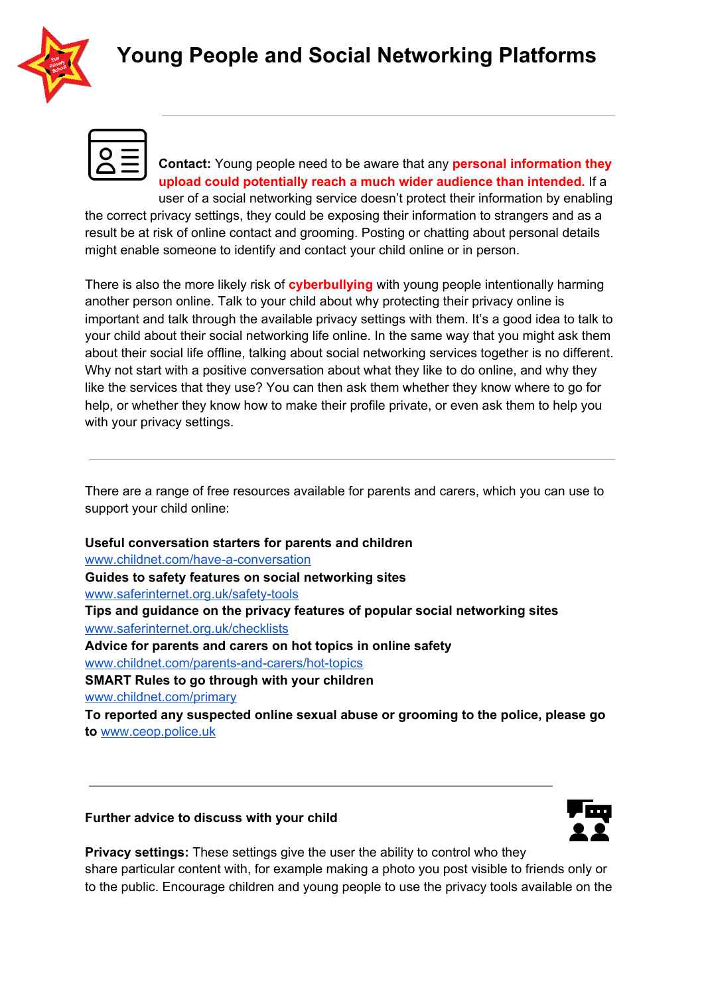

**Contact:** Young people need to be aware that any **personal information they upload could potentially reach a much wider audience than intended.** If a user of a social networking service doesn't protect their information by enabling

the correct privacy settings, they could be exposing their information to strangers and as a result be at risk of online contact and grooming. Posting or chatting about personal details might enable someone to identify and contact your child online or in person.

There is also the more likely risk of **cyberbullying** with young people intentionally harming another person online. Talk to your child about why protecting their privacy online is important and talk through the available privacy settings with them. It's a good idea to talk to your child about their social networking life online. In the same way that you might ask them about their social life offline, talking about social networking services together is no different. Why not start with a positive conversation about what they like to do online, and why they like the services that they use? You can then ask them whether they know where to go for help, or whether they know how to make their profile private, or even ask them to help you with your privacy settings.

There are a range of free resources available for parents and carers, which you can use to support your child online:

**Useful conversation starters for parents and children** [www.childnet.com/have-a-conversation](http://www.childnet.com/have-a-conversation) **Guides to safety features on social networking sites** [www.saferinternet.org.uk/safety-tools](http://www.saferinternet.org.uk/safety-tools) **Tips and guidance on the privacy features of popular social networking sites** [www.saferinternet.org.uk/checklists](http://www.saferinternet.org.uk/checklists) **Advice for parents and carers on hot topics in online safety** [www.childnet.com/parents-and-carers/hot-topics](http://www.childnet.com/parents-and-carers/hot-topics) **SMART Rules to go through with your children** [www.childnet.com/primary](http://www.childnet.com/primary) **To reported any suspected online sexual abuse or grooming to the police, please go**

**to** [www.ceop.police.uk](http://www.ceop.police.uk/)

## **Further advice to discuss with your child**



**Privacy settings:** These settings give the user the ability to control who they share particular content with, for example making a photo you post visible to friends only or to the public. Encourage children and young people to use the privacy tools available on the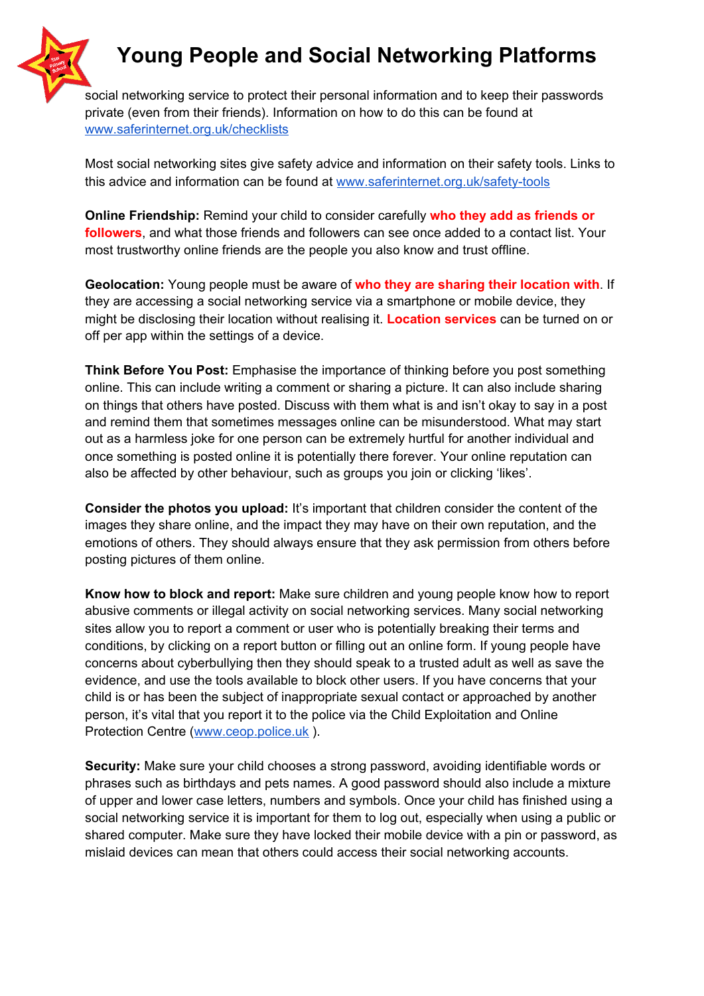social networking service to protect their personal information and to keep their passwords private (even from their friends). Information on how to do this can be found at [www.saferinternet.org.uk/checklists](http://www.saferinternet.org.uk/checklists)

Most social networking sites give safety advice and information on their safety tools. Links to this advice and information can be found at [www.saferinternet.org.uk/safety-tools](http://www.saferinternet.org.uk/safety-tools)

**Online Friendship:** Remind your child to consider carefully **who they add as friends or followers**, and what those friends and followers can see once added to a contact list. Your most trustworthy online friends are the people you also know and trust offline.

**Geolocation:** Young people must be aware of **who they are sharing their location with**. If they are accessing a social networking service via a smartphone or mobile device, they might be disclosing their location without realising it. **Location services** can be turned on or off per app within the settings of a device.

**Think Before You Post:** Emphasise the importance of thinking before you post something online. This can include writing a comment or sharing a picture. It can also include sharing on things that others have posted. Discuss with them what is and isn't okay to say in a post and remind them that sometimes messages online can be misunderstood. What may start out as a harmless joke for one person can be extremely hurtful for another individual and once something is posted online it is potentially there forever. Your online reputation can also be affected by other behaviour, such as groups you join or clicking 'likes'.

**Consider the photos you upload:** It's important that children consider the content of the images they share online, and the impact they may have on their own reputation, and the emotions of others. They should always ensure that they ask permission from others before posting pictures of them online.

**Know how to block and report:** Make sure children and young people know how to report abusive comments or illegal activity on social networking services. Many social networking sites allow you to report a comment or user who is potentially breaking their terms and conditions, by clicking on a report button or filling out an online form. If young people have concerns about cyberbullying then they should speak to a trusted adult as well as save the evidence, and use the tools available to block other users. If you have concerns that your child is or has been the subject of inappropriate sexual contact or approached by another person, it's vital that you report it to the police via the Child Exploitation and Online Protection Centre [\(www.ceop.police.uk](http://www.ceop.police.uk/) ).

**Security:** Make sure your child chooses a strong password, avoiding identifiable words or phrases such as birthdays and pets names. A good password should also include a mixture of upper and lower case letters, numbers and symbols. Once your child has finished using a social networking service it is important for them to log out, especially when using a public or shared computer. Make sure they have locked their mobile device with a pin or password, as mislaid devices can mean that others could access their social networking accounts.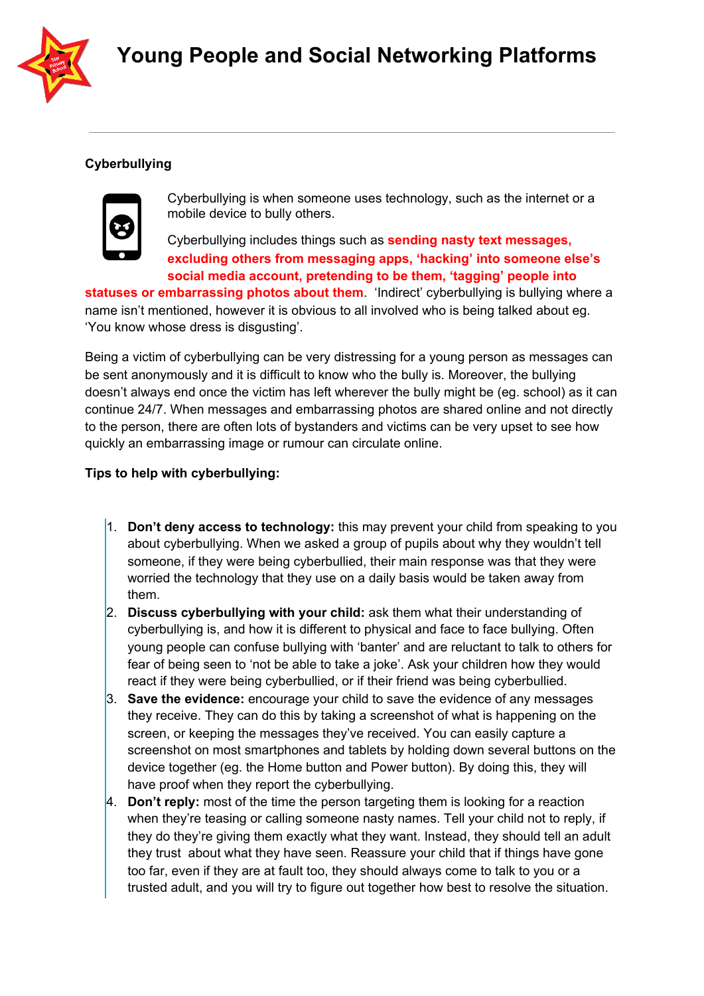

## **Cyberbullying**



Cyberbullying is when someone uses technology, such as the internet or a mobile device to bully others.

Cyberbullying includes things such as **sending nasty text messages, excluding others from messaging apps, 'hacking' into someone else's social media account, pretending to be them, 'tagging' people into**

**statuses or embarrassing photos about them**. 'Indirect' cyberbullying is bullying where a name isn't mentioned, however it is obvious to all involved who is being talked about eg. 'You know whose dress is disgusting'.

Being a victim of cyberbullying can be very distressing for a young person as messages can be sent anonymously and it is difficult to know who the bully is. Moreover, the bullying doesn't always end once the victim has left wherever the bully might be (eg. school) as it can continue 24/7. When messages and embarrassing photos are shared online and not directly to the person, there are often lots of bystanders and victims can be very upset to see how quickly an embarrassing image or rumour can circulate online.

#### **Tips to help with cyberbullying:**

- 1. **Don't deny access to technology:** this may prevent your child from speaking to you about cyberbullying. When we asked a group of pupils about why they wouldn't tell someone, if they were being cyberbullied, their main response was that they were worried the technology that they use on a daily basis would be taken away from them.
- 2. **Discuss cyberbullying with your child:** ask them what their understanding of cyberbullying is, and how it is different to physical and face to face bullying. Often young people can confuse bullying with 'banter' and are reluctant to talk to others for fear of being seen to 'not be able to take a joke'. Ask your children how they would react if they were being cyberbullied, or if their friend was being cyberbullied.
- 3. **Save the evidence:** encourage your child to save the evidence of any messages they receive. They can do this by taking a screenshot of what is happening on the screen, or keeping the messages they've received. You can easily capture a screenshot on most smartphones and tablets by holding down several buttons on the device together (eg. the Home button and Power button). By doing this, they will have proof when they report the cyberbullying.
- 4. **Don't reply:** most of the time the person targeting them is looking for a reaction when they're teasing or calling someone nasty names. Tell your child not to reply, if they do they're giving them exactly what they want. Instead, they should tell an adult they trust about what they have seen. Reassure your child that if things have gone too far, even if they are at fault too, they should always come to talk to you or a trusted adult, and you will try to figure out together how best to resolve the situation.